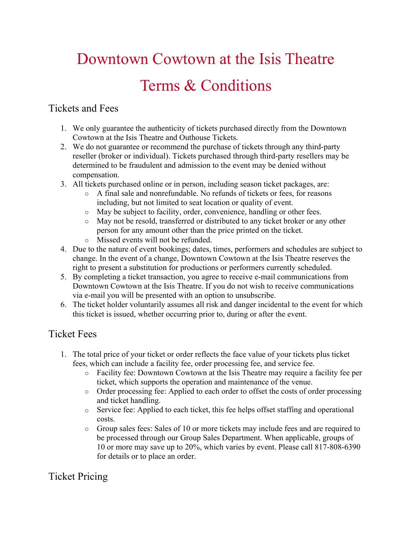# Downtown Cowtown at the Isis Theatre Terms & Conditions

### Tickets and Fees

- 1. We only guarantee the authenticity of tickets purchased directly from the Downtown Cowtown at the Isis Theatre and Outhouse Tickets.
- 2. We do not guarantee or recommend the purchase of tickets through any third-party reseller (broker or individual). Tickets purchased through third-party resellers may be determined to be fraudulent and admission to the event may be denied without compensation.
- 3. All tickets purchased online or in person, including season ticket packages, are:
	- o A final sale and nonrefundable. No refunds of tickets or fees, for reasons including, but not limited to seat location or quality of event.
	- o May be subject to facility, order, convenience, handling or other fees.
	- o May not be resold, transferred or distributed to any ticket broker or any other person for any amount other than the price printed on the ticket.
	- o Missed events will not be refunded.
- 4. Due to the nature of event bookings; dates, times, performers and schedules are subject to change. In the event of a change, Downtown Cowtown at the Isis Theatre reserves the right to present a substitution for productions or performers currently scheduled.
- 5. By completing a ticket transaction, you agree to receive e-mail communications from Downtown Cowtown at the Isis Theatre. If you do not wish to receive communications via e-mail you will be presented with an option to unsubscribe.
- 6. The ticket holder voluntarily assumes all risk and danger incidental to the event for which this ticket is issued, whether occurring prior to, during or after the event.

# Ticket Fees

- 1. The total price of your ticket or order reflects the face value of your tickets plus ticket fees, which can include a facility fee, order processing fee, and service fee.
	- o Facility fee: Downtown Cowtown at the Isis Theatre may require a facility fee per ticket, which supports the operation and maintenance of the venue.
	- o Order processing fee: Applied to each order to offset the costs of order processing and ticket handling.
	- o Service fee: Applied to each ticket, this fee helps offset staffing and operational costs.
	- o Group sales fees: Sales of 10 or more tickets may include fees and are required to be processed through our Group Sales Department. When applicable, groups of 10 or more may save up to 20%, which varies by event. Please call 817-808-6390 for details or to place an order.

# Ticket Pricing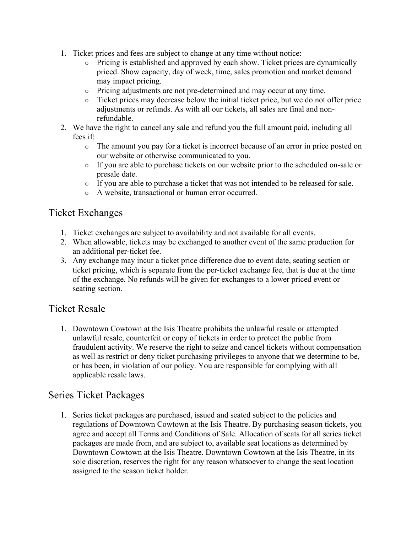- 1. Ticket prices and fees are subject to change at any time without notice:
	- o Pricing is established and approved by each show. Ticket prices are dynamically priced. Show capacity, day of week, time, sales promotion and market demand may impact pricing.
	- o Pricing adjustments are not pre-determined and may occur at any time.
	- o Ticket prices may decrease below the initial ticket price, but we do not offer price adjustments or refunds. As with all our tickets, all sales are final and nonrefundable.
- 2. We have the right to cancel any sale and refund you the full amount paid, including all fees if:
	- o The amount you pay for a ticket is incorrect because of an error in price posted on our website or otherwise communicated to you.
	- o If you are able to purchase tickets on our website prior to the scheduled on-sale or presale date.
	- o If you are able to purchase a ticket that was not intended to be released for sale.
	- o A website, transactional or human error occurred.

#### Ticket Exchanges

- 1. Ticket exchanges are subject to availability and not available for all events.
- 2. When allowable, tickets may be exchanged to another event of the same production for an additional per-ticket fee.
- 3. Any exchange may incur a ticket price difference due to event date, seating section or ticket pricing, which is separate from the per-ticket exchange fee, that is due at the time of the exchange. No refunds will be given for exchanges to a lower priced event or seating section.

#### Ticket Resale

1. Downtown Cowtown at the Isis Theatre prohibits the unlawful resale or attempted unlawful resale, counterfeit or copy of tickets in order to protect the public from fraudulent activity. We reserve the right to seize and cancel tickets without compensation as well as restrict or deny ticket purchasing privileges to anyone that we determine to be, or has been, in violation of our policy. You are responsible for complying with all applicable resale laws.

#### Series Ticket Packages

1. Series ticket packages are purchased, issued and seated subject to the policies and regulations of Downtown Cowtown at the Isis Theatre. By purchasing season tickets, you agree and accept all Terms and Conditions of Sale. Allocation of seats for all series ticket packages are made from, and are subject to, available seat locations as determined by Downtown Cowtown at the Isis Theatre. Downtown Cowtown at the Isis Theatre, in its sole discretion, reserves the right for any reason whatsoever to change the seat location assigned to the season ticket holder.